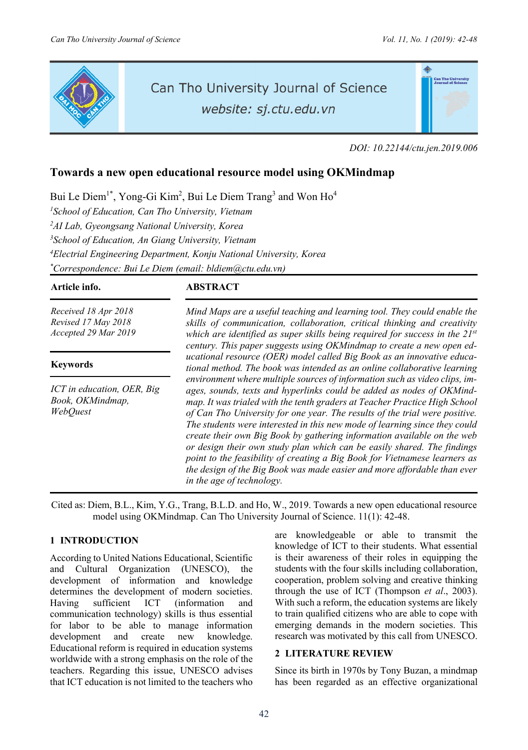

# Can Tho University Journal of Science

website: sj.ctu.edu.vn



*DOI: 10.22144/ctu.jen.2019.006* 

# **Towards a new open educational resource model using OKMindmap**

Bui Le Diem<sup>1\*</sup>, Yong-Gi Kim<sup>2</sup>, Bui Le Diem Trang<sup>3</sup> and Won Ho<sup>4</sup> *School of Education, Can Tho University, Vietnam AI Lab, Gyeongsang National University, Korea School of Education, An Giang University, Vietnam Electrial Engineering Department, Konju National University, Korea \* Correspondence: Bui Le Diem (email: bldiem@ctu.edu.vn)* 

*Received 18 Apr 2018 Revised 17 May 2018 Accepted 29 Mar 2019*

#### **Keywords**

*ICT in education, OER, Big Book, OKMindmap, WebQuest* 

# **Article info. ABSTRACT**

*Mind Maps are a useful teaching and learning tool. They could enable the skills of communication, collaboration, critical thinking and creativity*  which are identified as super skills being required for success in the 21<sup>st</sup> *century. This paper suggests using OKMindmap to create a new open educational resource (OER) model called Big Book as an innovative educational method. The book was intended as an online collaborative learning environment where multiple sources of information such as video clips, images, sounds, texts and hyperlinks could be added as nodes of OKMindmap. It was trialed with the tenth graders at Teacher Practice High School of Can Tho University for one year. The results of the trial were positive. The students were interested in this new mode of learning since they could create their own Big Book by gathering information available on the web or design their own study plan which can be easily shared. The findings point to the feasibility of creating a Big Book for Vietnamese learners as the design of the Big Book was made easier and more affordable than ever in the age of technology.* 

Cited as: Diem, B.L., Kim, Y.G., Trang, B.L.D. and Ho, W., 2019. Towards a new open educational resource model using OKMindmap. Can Tho University Journal of Science. 11(1): 42-48.

# **1 INTRODUCTION**

According to United Nations Educational, Scientific and Cultural Organization (UNESCO), the development of information and knowledge determines the development of modern societies. Having sufficient ICT (information and communication technology) skills is thus essential for labor to be able to manage information development and create new knowledge. Educational reform is required in education systems worldwide with a strong emphasis on the role of the teachers. Regarding this issue, UNESCO advises that ICT education is not limited to the teachers who are knowledgeable or able to transmit the knowledge of ICT to their students. What essential is their awareness of their roles in equipping the students with the four skills including collaboration, cooperation, problem solving and creative thinking through the use of ICT (Thompson *et al*., 2003). With such a reform, the education systems are likely to train qualified citizens who are able to cope with emerging demands in the modern societies. This research was motivated by this call from UNESCO.

# **2 LITERATURE REVIEW**

Since its birth in 1970s by Tony Buzan, a mindmap has been regarded as an effective organizational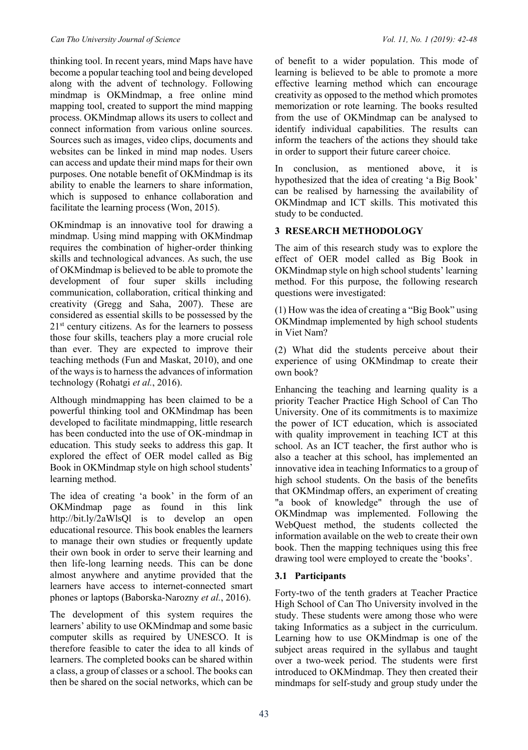thinking tool. In recent years, mind Maps have have become a popular teaching tool and being developed along with the advent of technology. Following mindmap is OKMindmap, a free online mind mapping tool, created to support the mind mapping process. OKMindmap allows its users to collect and connect information from various online sources. Sources such as images, video clips, documents and websites can be linked in mind map nodes. Users can access and update their mind maps for their own purposes. One notable benefit of OKMindmap is its ability to enable the learners to share information, which is supposed to enhance collaboration and facilitate the learning process (Won, 2015).

OKmindmap is an innovative tool for drawing a mindmap. Using mind mapping with OKMindmap requires the combination of higher-order thinking skills and technological advances. As such, the use of OKMindmap is believed to be able to promote the development of four super skills including communication, collaboration, critical thinking and creativity (Gregg and Saha, 2007). These are considered as essential skills to be possessed by the 21<sup>st</sup> century citizens. As for the learners to possess those four skills, teachers play a more crucial role than ever. They are expected to improve their teaching methods (Fun and Maskat, 2010), and one of the ways is to harness the advances of information technology (Rohatgi *et al.*, 2016).

Although mindmapping has been claimed to be a powerful thinking tool and OKMindmap has been developed to facilitate mindmapping, little research has been conducted into the use of OK-mindmap in education. This study seeks to address this gap. It explored the effect of OER model called as Big Book in OKMindmap style on high school students' learning method.

The idea of creating 'a book' in the form of an OKMindmap page as found in this link http://bit.ly/2aWlsQl is to develop an open educational resource. This book enables the learners to manage their own studies or frequently update their own book in order to serve their learning and then life-long learning needs. This can be done almost anywhere and anytime provided that the learners have access to internet-connected smart phones or laptops (Baborska-Narozny *et al.*, 2016).

The development of this system requires the learners' ability to use OKMindmap and some basic computer skills as required by UNESCO. It is therefore feasible to cater the idea to all kinds of learners. The completed books can be shared within a class, a group of classes or a school. The books can then be shared on the social networks, which can be

of benefit to a wider population. This mode of learning is believed to be able to promote a more effective learning method which can encourage creativity as opposed to the method which promotes memorization or rote learning. The books resulted from the use of OKMindmap can be analysed to identify individual capabilities. The results can inform the teachers of the actions they should take in order to support their future career choice.

In conclusion, as mentioned above, it is hypothesized that the idea of creating 'a Big Book' can be realised by harnessing the availability of OKMindmap and ICT skills. This motivated this study to be conducted.

# **3 RESEARCH METHODOLOGY**

The aim of this research study was to explore the effect of OER model called as Big Book in OKMindmap style on high school students' learning method. For this purpose, the following research questions were investigated:

(1) How was the idea of creating a "Big Book" using OKMindmap implemented by high school students in Viet Nam?

(2) What did the students perceive about their experience of using OKMindmap to create their own book?

Enhancing the teaching and learning quality is a priority Teacher Practice High School of Can Tho University. One of its commitments is to maximize the power of ICT education, which is associated with quality improvement in teaching ICT at this school. As an ICT teacher, the first author who is also a teacher at this school, has implemented an innovative idea in teaching Informatics to a group of high school students. On the basis of the benefits that OKMindmap offers, an experiment of creating "a book of knowledge" through the use of OKMindmap was implemented. Following the WebQuest method, the students collected the information available on the web to create their own book. Then the mapping techniques using this free drawing tool were employed to create the 'books'.

# **3.1 Participants**

Forty-two of the tenth graders at Teacher Practice High School of Can Tho University involved in the study. These students were among those who were taking Informatics as a subject in the curriculum. Learning how to use OKMindmap is one of the subject areas required in the syllabus and taught over a two-week period. The students were first introduced to OKMindmap. They then created their mindmaps for self-study and group study under the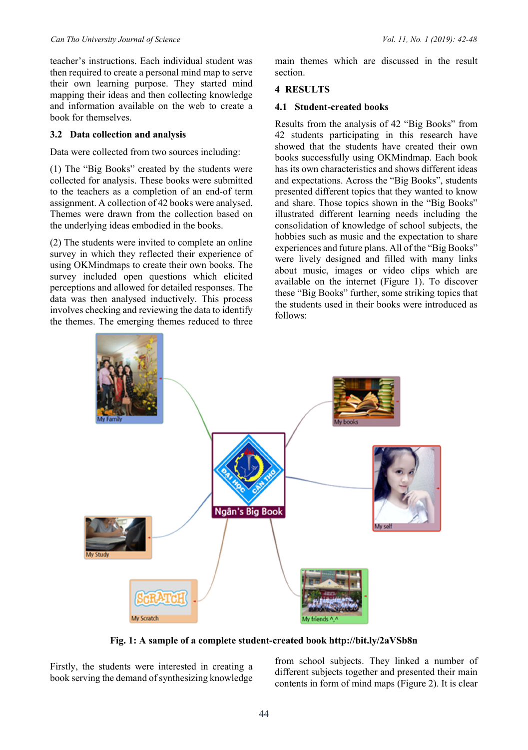teacher's instructions. Each individual student was then required to create a personal mind map to serve their own learning purpose. They started mind mapping their ideas and then collecting knowledge and information available on the web to create a book for themselves.

#### **3.2 Data collection and analysis**

Data were collected from two sources including:

(1) The "Big Books" created by the students were collected for analysis. These books were submitted to the teachers as a completion of an end-of term assignment. A collection of 42 books were analysed. Themes were drawn from the collection based on the underlying ideas embodied in the books.

(2) The students were invited to complete an online survey in which they reflected their experience of using OKMindmaps to create their own books. The survey included open questions which elicited perceptions and allowed for detailed responses. The data was then analysed inductively. This process involves checking and reviewing the data to identify the themes. The emerging themes reduced to three

main themes which are discussed in the result section.

#### **4 RESULTS**

#### **4.1 Student-created books**

Results from the analysis of 42 "Big Books" from 42 students participating in this research have showed that the students have created their own books successfully using OKMindmap. Each book has its own characteristics and shows different ideas and expectations. Across the "Big Books", students presented different topics that they wanted to know and share. Those topics shown in the "Big Books" illustrated different learning needs including the consolidation of knowledge of school subjects, the hobbies such as music and the expectation to share experiences and future plans. All of the "Big Books" were lively designed and filled with many links about music, images or video clips which are available on the internet (Figure 1). To discover these "Big Books" further, some striking topics that the students used in their books were introduced as follows:



**Fig. 1: A sample of a complete student-created book http://bit.ly/2aVSb8n** 

Firstly, the students were interested in creating a book serving the demand of synthesizing knowledge

from school subjects. They linked a number of different subjects together and presented their main contents in form of mind maps (Figure 2). It is clear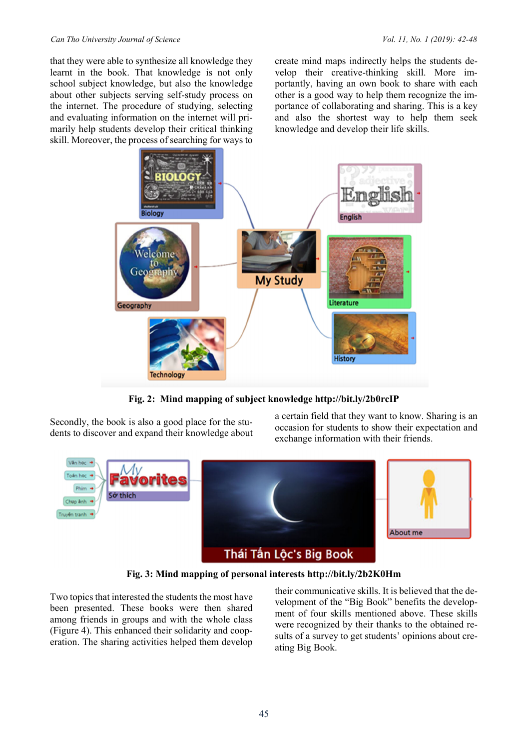#### *Can Tho University Journal of Science Vol. 11, No. 1 (2019): 42-48*

that they were able to synthesize all knowledge they learnt in the book. That knowledge is not only school subject knowledge, but also the knowledge about other subjects serving self-study process on the internet. The procedure of studying, selecting and evaluating information on the internet will primarily help students develop their critical thinking skill. Moreover, the process of searching for ways to

create mind maps indirectly helps the students develop their creative-thinking skill. More importantly, having an own book to share with each other is a good way to help them recognize the importance of collaborating and sharing. This is a key and also the shortest way to help them seek knowledge and develop their life skills.



**Fig. 2: Mind mapping of subject knowledge http://bit.ly/2b0rcIP** 

Secondly, the book is also a good place for the students to discover and expand their knowledge about a certain field that they want to know. Sharing is an occasion for students to show their expectation and exchange information with their friends.



**Fig. 3: Mind mapping of personal interests http://bit.ly/2b2K0Hm** 

Two topics that interested the students the most have been presented. These books were then shared among friends in groups and with the whole class (Figure 4). This enhanced their solidarity and cooperation. The sharing activities helped them develop

their communicative skills. It is believed that the development of the "Big Book" benefits the development of four skills mentioned above. These skills were recognized by their thanks to the obtained results of a survey to get students' opinions about creating Big Book.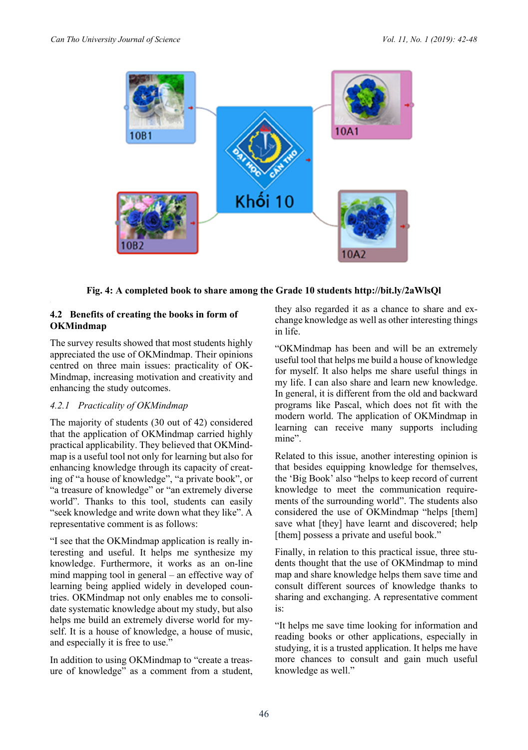

**Fig. 4: A completed book to share among the Grade 10 students http://bit.ly/2aWlsQl** 

# **4.2 Benefits of creating the books in form of OKMindmap**

The survey results showed that most students highly appreciated the use of OKMindmap. Their opinions centred on three main issues: practicality of OK-Mindmap, increasing motivation and creativity and enhancing the study outcomes.

## *4.2.1 Practicality of OKMindmap*

The majority of students (30 out of 42) considered that the application of OKMindmap carried highly practical applicability. They believed that OKMindmap is a useful tool not only for learning but also for enhancing knowledge through its capacity of creating of "a house of knowledge", "a private book", or "a treasure of knowledge" or "an extremely diverse world". Thanks to this tool, students can easily "seek knowledge and write down what they like". A representative comment is as follows:

"I see that the OKMindmap application is really interesting and useful. It helps me synthesize my knowledge. Furthermore, it works as an on-line mind mapping tool in general – an effective way of learning being applied widely in developed countries. OKMindmap not only enables me to consolidate systematic knowledge about my study, but also helps me build an extremely diverse world for myself. It is a house of knowledge, a house of music, and especially it is free to use."

In addition to using OKMindmap to "create a treasure of knowledge" as a comment from a student, they also regarded it as a chance to share and exchange knowledge as well as other interesting things in life.

"OKMindmap has been and will be an extremely useful tool that helps me build a house of knowledge for myself. It also helps me share useful things in my life. I can also share and learn new knowledge. In general, it is different from the old and backward programs like Pascal, which does not fit with the modern world. The application of OKMindmap in learning can receive many supports including mine".

Related to this issue, another interesting opinion is that besides equipping knowledge for themselves, the 'Big Book' also "helps to keep record of current knowledge to meet the communication requirements of the surrounding world". The students also considered the use of OKMindmap "helps [them] save what [they] have learnt and discovered; help [them] possess a private and useful book."

Finally, in relation to this practical issue, three students thought that the use of OKMindmap to mind map and share knowledge helps them save time and consult different sources of knowledge thanks to sharing and exchanging. A representative comment is:

"It helps me save time looking for information and reading books or other applications, especially in studying, it is a trusted application. It helps me have more chances to consult and gain much useful knowledge as well."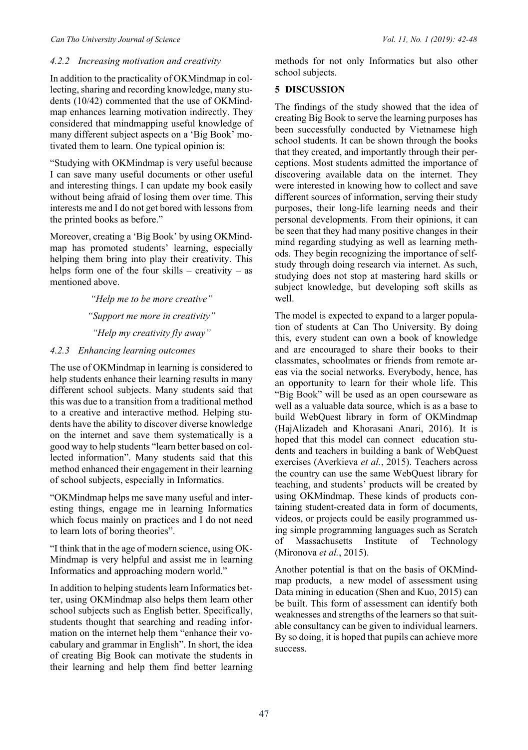#### *4.2.2 Increasing motivation and creativity*

In addition to the practicality of OKMindmap in collecting, sharing and recording knowledge, many students (10/42) commented that the use of OKMindmap enhances learning motivation indirectly. They considered that mindmapping useful knowledge of many different subject aspects on a 'Big Book' motivated them to learn. One typical opinion is:

"Studying with OKMindmap is very useful because I can save many useful documents or other useful and interesting things. I can update my book easily without being afraid of losing them over time. This interests me and I do not get bored with lessons from the printed books as before."

Moreover, creating a 'Big Book' by using OKMindmap has promoted students' learning, especially helping them bring into play their creativity. This helps form one of the four skills – creativity – as mentioned above.

> *"Help me to be more creative" "Support me more in creativity" "Help my creativity fly away"*

#### *4.2.3 Enhancing learning outcomes*

The use of OKMindmap in learning is considered to help students enhance their learning results in many different school subjects. Many students said that this was due to a transition from a traditional method to a creative and interactive method. Helping students have the ability to discover diverse knowledge on the internet and save them systematically is a good way to help students "learn better based on collected information". Many students said that this method enhanced their engagement in their learning of school subjects, especially in Informatics.

"OKMindmap helps me save many useful and interesting things, engage me in learning Informatics which focus mainly on practices and I do not need to learn lots of boring theories".

"I think that in the age of modern science, using OK-Mindmap is very helpful and assist me in learning Informatics and approaching modern world."

In addition to helping students learn Informatics better, using OKMindmap also helps them learn other school subjects such as English better. Specifically, students thought that searching and reading information on the internet help them "enhance their vocabulary and grammar in English". In short, the idea of creating Big Book can motivate the students in their learning and help them find better learning methods for not only Informatics but also other school subjects.

#### **5 DISCUSSION**

The findings of the study showed that the idea of creating Big Book to serve the learning purposes has been successfully conducted by Vietnamese high school students. It can be shown through the books that they created, and importantly through their perceptions. Most students admitted the importance of discovering available data on the internet. They were interested in knowing how to collect and save different sources of information, serving their study purposes, their long-life learning needs and their personal developments. From their opinions, it can be seen that they had many positive changes in their mind regarding studying as well as learning methods. They begin recognizing the importance of selfstudy through doing research via internet. As such, studying does not stop at mastering hard skills or subject knowledge, but developing soft skills as well.

The model is expected to expand to a larger population of students at Can Tho University. By doing this, every student can own a book of knowledge and are encouraged to share their books to their classmates, schoolmates or friends from remote areas via the social networks. Everybody, hence, has an opportunity to learn for their whole life. This "Big Book" will be used as an open courseware as well as a valuable data source, which is as a base to build WebQuest library in form of OKMindmap (HajAlizadeh and Khorasani Anari, 2016). It is hoped that this model can connect education students and teachers in building a bank of WebQuest exercises (Averkieva *et al.*, 2015). Teachers across the country can use the same WebQuest library for teaching, and students' products will be created by using OKMindmap. These kinds of products containing student-created data in form of documents, videos, or projects could be easily programmed using simple programming languages such as Scratch of Massachusetts Institute of Technology (Mironova *et al.*, 2015).

Another potential is that on the basis of OKMindmap products, a new model of assessment using Data mining in education (Shen and Kuo, 2015) can be built. This form of assessment can identify both weaknesses and strengths of the learners so that suitable consultancy can be given to individual learners. By so doing, it is hoped that pupils can achieve more success.